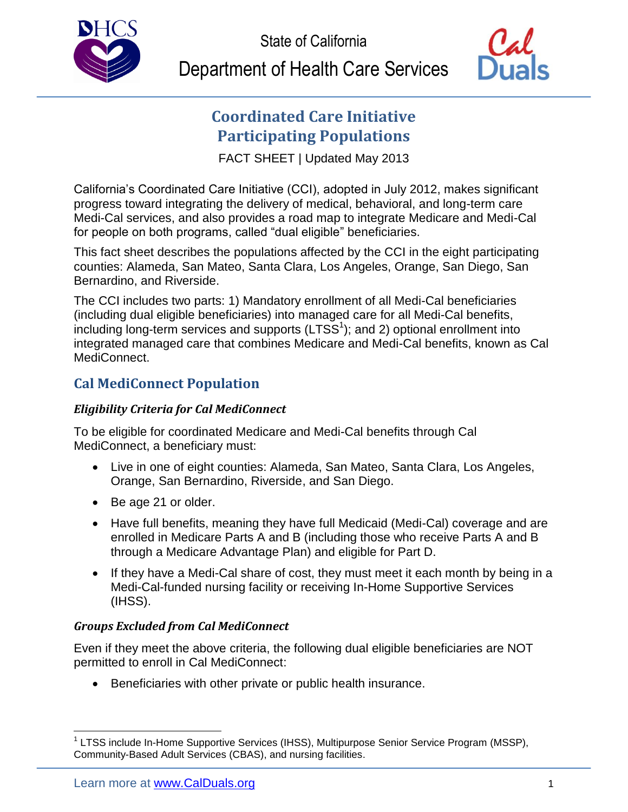

State of California

Department of Health Care Services



# **Coordinated Care Initiative Participating Populations**

FACT SHEET | Updated May 2013

California's Coordinated Care Initiative (CCI), adopted in July 2012, makes significant progress toward integrating the delivery of medical, behavioral, and long-term care Medi-Cal services, and also provides a road map to integrate Medicare and Medi-Cal for people on both programs, called "dual eligible" beneficiaries.

This fact sheet describes the populations affected by the CCI in the eight participating counties: Alameda, San Mateo, Santa Clara, Los Angeles, Orange, San Diego, San Bernardino, and Riverside.

The CCI includes two parts: 1) Mandatory enrollment of all Medi-Cal beneficiaries (including dual eligible beneficiaries) into managed care for all Medi-Cal benefits, including long-term services and supports (LTSS<sup>1</sup>); and 2) optional enrollment into integrated managed care that combines Medicare and Medi-Cal benefits, known as Cal MediConnect.

## **Cal MediConnect Population**

### *Eligibility Criteria for Cal MediConnect*

To be eligible for coordinated Medicare and Medi-Cal benefits through Cal MediConnect, a beneficiary must:

- Live in one of eight counties: Alameda, San Mateo, Santa Clara, Los Angeles, Orange, San Bernardino, Riverside, and San Diego.
- Be age 21 or older.
- Have full benefits, meaning they have full Medicaid (Medi-Cal) coverage and are enrolled in Medicare Parts A and B (including those who receive Parts A and B through a Medicare Advantage Plan) and eligible for Part D.
- If they have a Medi-Cal share of cost, they must meet it each month by being in a Medi-Cal-funded nursing facility or receiving In-Home Supportive Services (IHSS).

#### *Groups Excluded from Cal MediConnect*

Even if they meet the above criteria, the following dual eligible beneficiaries are NOT permitted to enroll in Cal MediConnect:

Beneficiaries with other private or public health insurance.

 $\overline{a}$ 

<sup>&</sup>lt;sup>1</sup> LTSS include In-Home Supportive Services (IHSS), Multipurpose Senior Service Program (MSSP), Community-Based Adult Services (CBAS), and nursing facilities.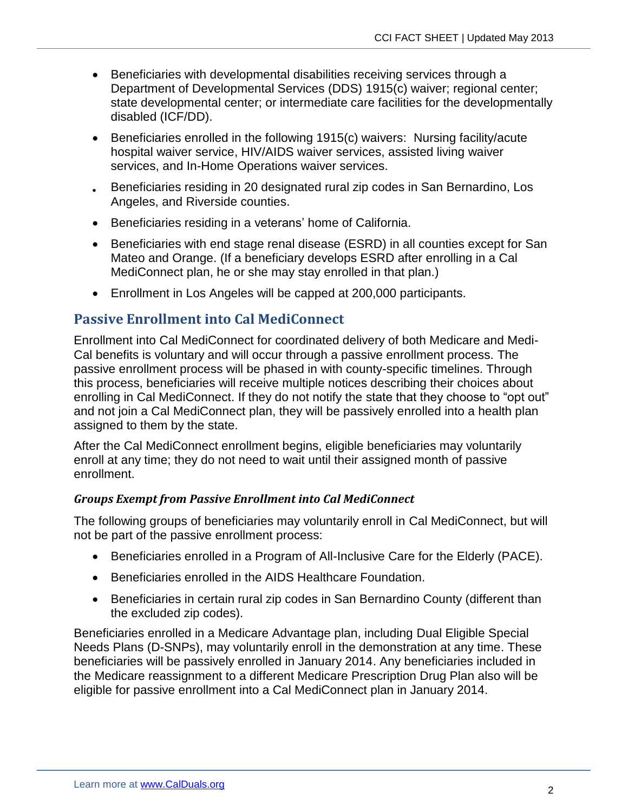- Beneficiaries with developmental disabilities receiving services through a Department of Developmental Services (DDS) 1915(c) waiver; regional center; state developmental center; or intermediate care facilities for the developmentally disabled (ICF/DD).
- Beneficiaries enrolled in the following 1915(c) waivers: Nursing facility/acute hospital waiver service, HIV/AIDS waiver services, assisted living waiver services, and In-Home Operations waiver services.
- Beneficiaries residing in 20 designated rural zip codes in San Bernardino, Los Angeles, and Riverside counties.
- Beneficiaries residing in a veterans' home of California.
- Beneficiaries with end stage renal disease (ESRD) in all counties except for San Mateo and Orange. (If a beneficiary develops ESRD after enrolling in a Cal MediConnect plan, he or she may stay enrolled in that plan.)
- Enrollment in Los Angeles will be capped at 200,000 participants.

#### **Passive Enrollment into Cal MediConnect**

Enrollment into Cal MediConnect for coordinated delivery of both Medicare and Medi-Cal benefits is voluntary and will occur through a passive enrollment process. The passive enrollment process will be phased in with county-specific timelines. Through this process, beneficiaries will receive multiple notices describing their choices about enrolling in Cal MediConnect. If they do not notify the state that they choose to "opt out" and not join a Cal MediConnect plan, they will be passively enrolled into a health plan assigned to them by the state.

After the Cal MediConnect enrollment begins, eligible beneficiaries may voluntarily enroll at any time; they do not need to wait until their assigned month of passive enrollment.

#### *Groups Exempt from Passive Enrollment into Cal MediConnect*

The following groups of beneficiaries may voluntarily enroll in Cal MediConnect, but will not be part of the passive enrollment process:

- Beneficiaries enrolled in a Program of All-Inclusive Care for the Elderly (PACE).
- Beneficiaries enrolled in the AIDS Healthcare Foundation.
- Beneficiaries in certain rural zip codes in San Bernardino County (different than the excluded zip codes).

Beneficiaries enrolled in a Medicare Advantage plan, including Dual Eligible Special Needs Plans (D-SNPs), may voluntarily enroll in the demonstration at any time. These beneficiaries will be passively enrolled in January 2014. Any beneficiaries included in the Medicare reassignment to a different Medicare Prescription Drug Plan also will be eligible for passive enrollment into a Cal MediConnect plan in January 2014.